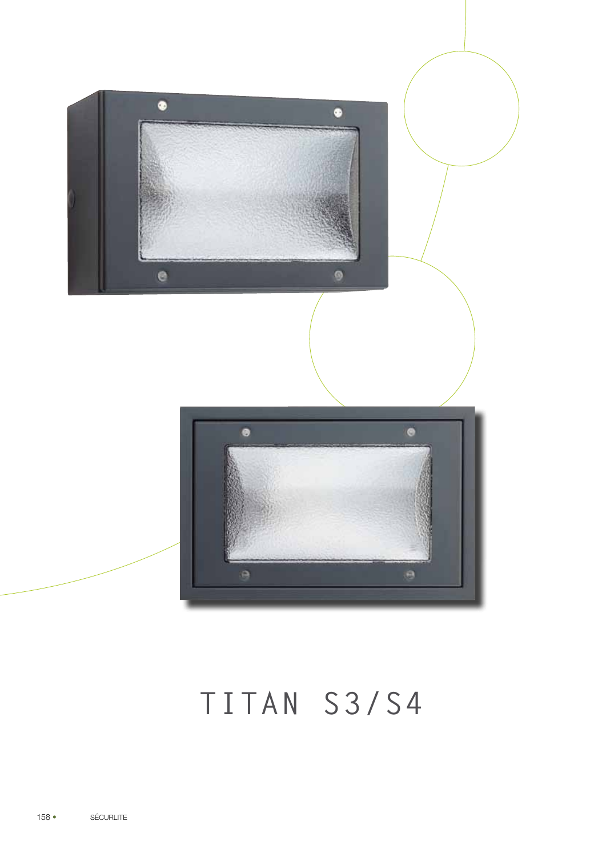

# TITAN S3/S4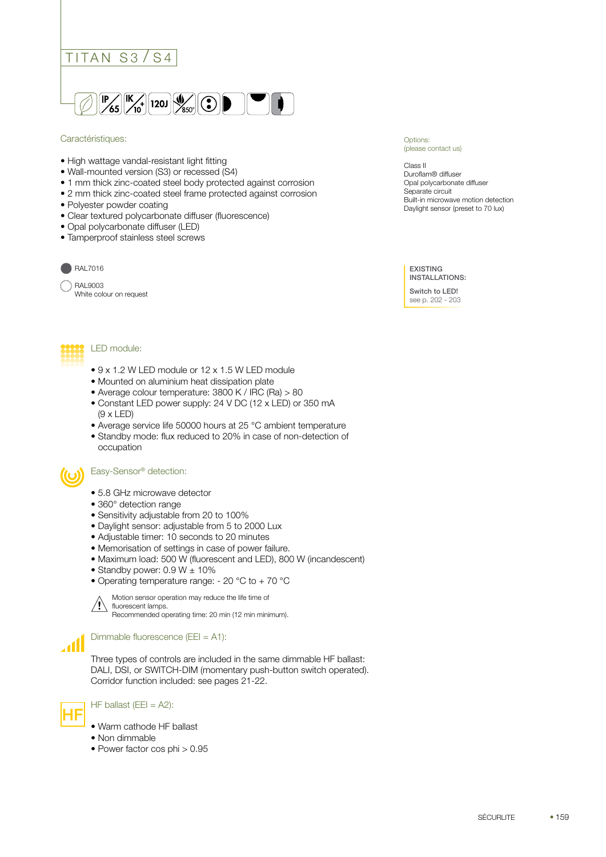



#### Caractéristiques:

- High wattage vandal-resistant light fitting
- Wall-mounted version (S3) or recessed (S4)
- 1 mm thick zinc-coated steel body protected against corrosion
- 2 mm thick zinc-coated steel frame protected against corrosion
- Polyester powder coating
- Clear textured polycarbonate diffuser (fluorescence)
- Opal polycarbonate diffuser (LED)
- Tamperproof stainless steel screws



# RAL9003

White colour on request



Options:

Class II Duroflam® diffuser Opal polycarbonate diffuser Separate circuit Built-in microwave motion detection Daylight sensor (preset to 70 lux)

EXISTING INSTALLATIONS:

Switch to LED! see p. 202 - 203



## LED module:

- 9 x 1.2 W LED module or 12 x 1.5 W LED module
- Mounted on aluminium heat dissipation plate
- Average colour temperature: 3800 K / IRC (Ra) > 80
- Constant LED power supply: 24 V DC (12 x LED) or 350 mA (9 x LED)
- Average service life 50000 hours at 25 °C ambient temperature
- Standby mode: flux reduced to 20% in case of non-detection of occupation

#### Easy-Sensor® detection:

- 5.8 GHz microwave detector
- 360° detection range
- Sensitivity adjustable from 20 to 100%
- Daylight sensor: adjustable from 5 to 2000 Lux
- Adjustable timer: 10 seconds to 20 minutes
- Memorisation of settings in case of power failure.
- Maximum load: 500 W (fluorescent and LED), 800 W (incandescent)
- Standby power:  $0.9 W \pm 10\%$
- Operating temperature range: 20 °C to + 70 °C

Motion sensor operation may reduce the life time of fluorescent lamps. Recommended operating time: 20 min (12 min minimum).

Dimmable fluorescence (EEI = A1):

Three types of controls are included in the same dimmable HF ballast: DALI, DSI, or SWITCH-DIM (momentary push-button switch operated). Corridor function included: see pages 21-22.



 $\mathbf{d}$ 

**!**

- $\begin{aligned} \begin{aligned} \begin{aligned} \begin{aligned} \end{aligned} \end{aligned} \text{H}\text{F} \text{ ballast (EE I = A2):} \end{aligned} \end{aligned}$ 
	- Warm cathode HF ballast
	- Non dimmable
	- Power factor cos phi > 0.95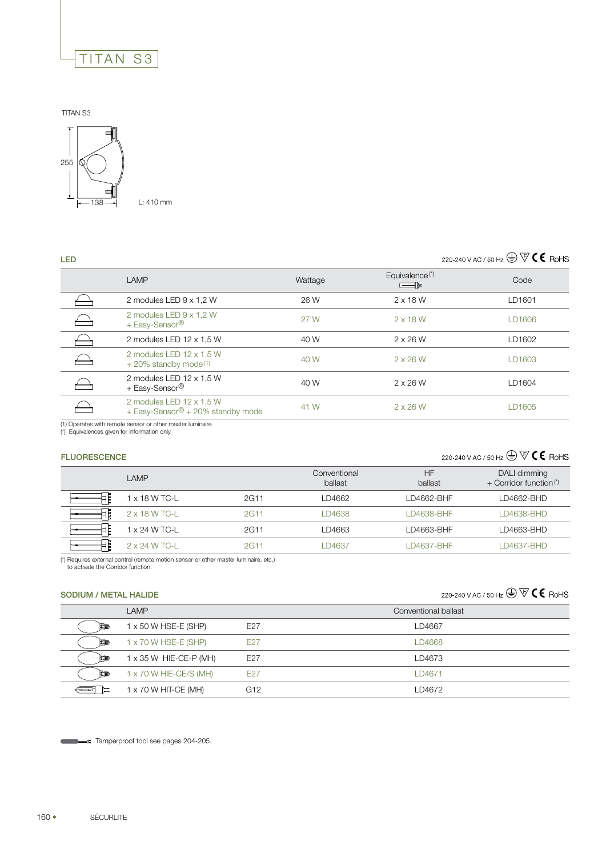

TITAN S3



L: 410 mm

## 220-240 V AC / 50 Hz  $\overline{\bigoplus}$   $\overline{\nabla}$   $\mathbf{C}$  RoHS

| <b>LED</b> |                                                                 |         |                                                  | 220-240 V AC / 50 Hz $\bigoplus \overline{\nabla} \mathsf{C} \mathsf{C}$ RoHS |
|------------|-----------------------------------------------------------------|---------|--------------------------------------------------|-------------------------------------------------------------------------------|
|            | LAMP                                                            | Wattage | Equivalence <sup>(*)</sup><br>$=$ $\blacksquare$ | Code                                                                          |
|            | 2 modules LED 9 x 1,2 W                                         | 26 W    | $2 \times 18$ W                                  | LD1601                                                                        |
|            | 2 modules LED 9 x 1,2 W<br>+ Easy-Sensor®                       | 27 W    | $2 \times 18$ W                                  | LD1606                                                                        |
|            | 2 modules LED 12 x 1,5 W                                        | 40 W    | $2 \times 26$ W                                  | LD1602                                                                        |
|            | 2 modules LED 12 x 1,5 W<br>$+20\%$ standby mode <sup>(1)</sup> | 40 W    | $2 \times 26$ W                                  | LD1603                                                                        |
|            | 2 modules LED 12 x 1,5 W<br>+ Easy-Sensor®                      | 40 W    | $2 \times 26$ W                                  | LD1604                                                                        |
|            | 2 modules LED 12 x 1,5 W<br>+ Easy-Sensor® + 20% standby mode   | 41 W    | $2 \times 26$ W                                  | LD1605                                                                        |

(1) Operates with remote sensor or other master luminaire. (\*) Equivalences given for information only

#### **FLUORESCENCE**

## 220-240 V AC / 50 Hz  $\bigoplus \overline{\nabla} \textbf{C} \textbf{\textsf{C}}$  RoHS

| LAMP          |      | Conventional<br>ballast | HF<br>ballast | DALI dimming<br>+ Corridor function <sup>(*)</sup> |
|---------------|------|-------------------------|---------------|----------------------------------------------------|
| 1 x 18 W TC-L | 2G11 | LD4662                  | LD4662-BHF    | LD4662-BHD                                         |
| 2 x 18 W TC-L | 2G11 | D4638                   | LD4638-BHF    | LD4638-BHD                                         |
| 1 x 24 W TC-L | 2G11 | LD4663                  | LD4663-BHF    | LD4663-BHD                                         |
| 2 x 24 W TC-L | 2G11 | D4637                   | LD4637-BHF    | LD4637-BHD                                         |

(\*) Requires external control (remote motion sensor or other master luminaire, etc.) to activate the Corridor function.

## SODIUM / METAL HALIDE

220-240 V AC / 50 Hz  $\bigoplus \overline{\nabla} \mathsf{CE}$  RoHS

|           | LAMP                   |                 | Conventional ballast |
|-----------|------------------------|-----------------|----------------------|
| 日皿        | 1 x 50 W HSE-E (SHP)   | E27             | LD4667               |
| 同观        | 1 x 70 W HSE-E (SHP)   | E27             | LD4668               |
| Em        | 1 x 35 W HIE-CE-P (MH) | E27             | LD4673               |
| <b>Em</b> | 1 x 70 W HIE-CE/S (MH) | E27             | LD4671               |
|           | 1 x 70 W HIT-CE (MH)   | G <sub>12</sub> | LD4672               |

Tamperproof tool see pages 204-205.